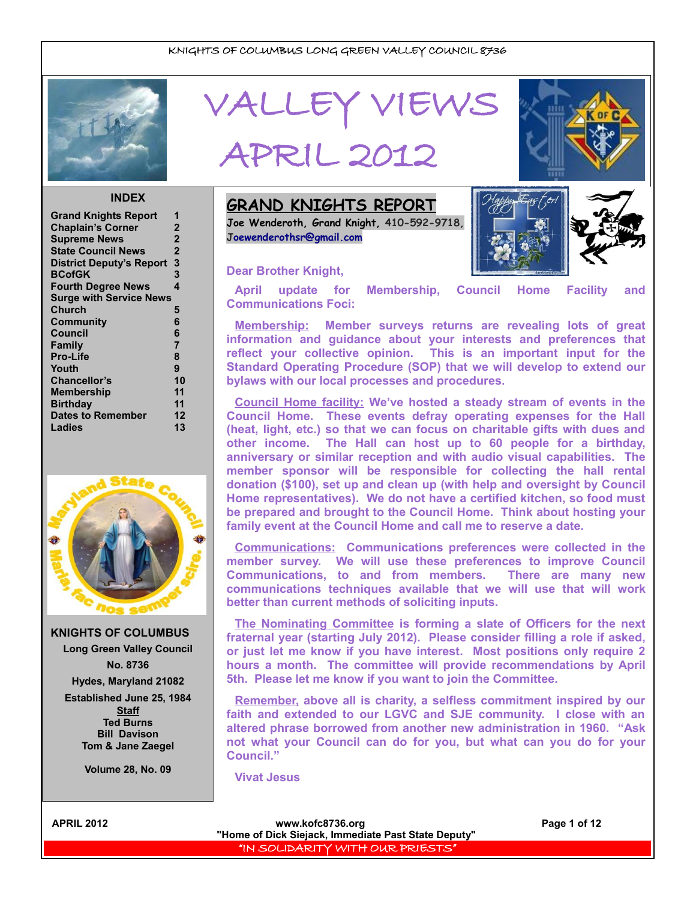

# VALLEY VIEWS

## APRIL 2012



#### **INDEX**

| <b>Grand Knights Report</b>     |                |
|---------------------------------|----------------|
| <b>Chaplain's Corner</b>        | $\mathbf 2$    |
| <b>Supreme News</b>             | $\overline{2}$ |
| <b>State Council News</b>       | $\overline{2}$ |
| <b>District Deputy's Report</b> | 3              |
| <b>BCofGK</b>                   | 3              |
| <b>Fourth Degree News</b>       | 4              |
| <b>Surge with Service News</b>  |                |
| <b>Church</b>                   | 5              |
| Community                       | 6              |
| <b>Council</b>                  | 6              |
| <b>Family</b>                   | $\overline{7}$ |
| <b>Pro-Life</b>                 | 8              |
| Youth                           | 9              |
| <b>Chancellor's</b>             | 10             |
| <b>Membership</b>               | 11             |
| <b>Birthday</b>                 | 11             |
| <b>Dates to Remember</b>        | 12             |
| Ladies                          | 13             |
|                                 |                |



**KNIGHTS OF COLUMBUS Long Green Valley Council No. 8736**

**Hydes, Maryland 21082**

**Established June 25, 1984 Staff Ted Burns Bill Davison Tom & Jane Zaegel**

**Volume 28, No. 09**

**GRAND KNIGHTS REPORT Joe Wenderoth, Grand Knight, 410-592-9718, [Joewenderothsr@gmail.com](mailto:Joewenderothsr@gmail.com)**

#### **Dear Brother Knight,**



**April update for Membership, Council Home Facility and Communications Foci:**

**Membership: Member surveys returns are revealing lots of great information and guidance about your interests and preferences that reflect your collective opinion. This is an important input for the Standard Operating Procedure (SOP) that we will develop to extend our bylaws with our local processes and procedures.** 

**Council Home facility: We've hosted a steady stream of events in the Council Home. These events defray operating expenses for the Hall (heat, light, etc.) so that we can focus on charitable gifts with dues and other income. The Hall can host up to 60 people for a birthday, anniversary or similar reception and with audio visual capabilities. The member sponsor will be responsible for collecting the hall rental donation (\$100), set up and clean up (with help and oversight by Council Home representatives). We do not have a certified kitchen, so food must be prepared and brought to the Council Home. Think about hosting your family event at the Council Home and call me to reserve a date.**

**Communications: Communications preferences were collected in the member survey. We will use these preferences to improve Council Communications, to and from members. There are many new communications techniques available that we will use that will work better than current methods of soliciting inputs.**

**The Nominating Committee is forming a slate of Officers for the next fraternal year (starting July 2012). Please consider filling a role if asked, or just let me know if you have interest. Most positions only require 2 hours a month. The committee will provide recommendations by April 5th. Please let me know if you want to join the Committee.**

**Remember, above all is charity, a selfless commitment inspired by our faith and extended to our LGVC and SJE community. I close with an altered phrase borrowed from another new administration in 1960. "Ask not what your Council can do for you, but what can you do for your Council."** 

**Vivat Jesus**

APRIL 2012 **Contract Contract Contract Contract Contract Contract Contract Contract Contract Contract Page 1 of 12 "Home of Dick Siejack, Immediate Past State Deputy"**  "IN SOLIDARITY WITH OUR PRIESTS"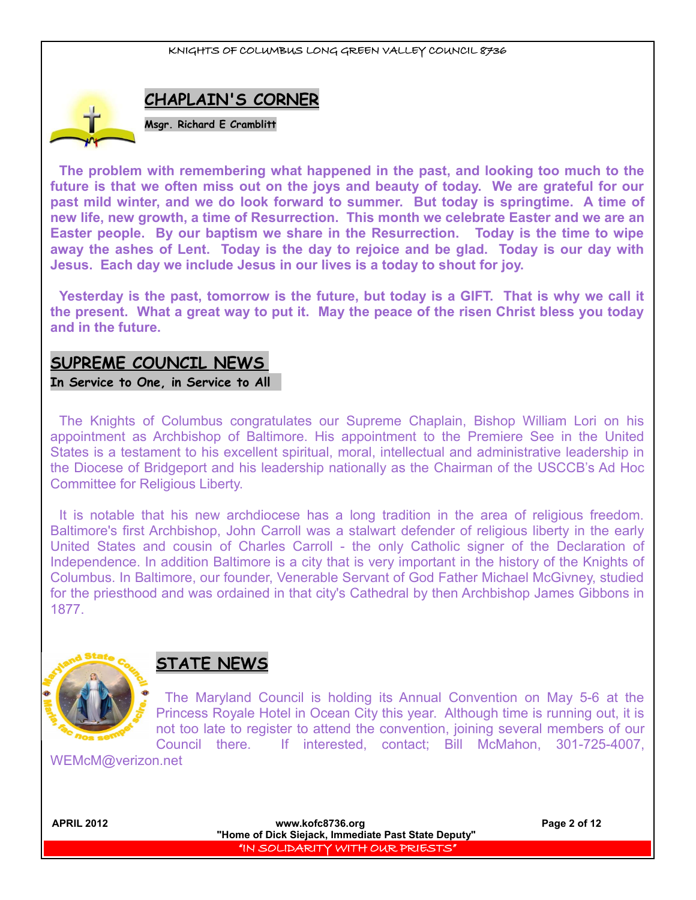

**The problem with remembering what happened in the past, and looking too much to the future is that we often miss out on the joys and beauty of today. We are grateful for our past mild winter, and we do look forward to summer. But today is springtime. A time of new life, new growth, a time of Resurrection. This month we celebrate Easter and we are an Easter people. By our baptism we share in the Resurrection. Today is the time to wipe away the ashes of Lent. Today is the day to rejoice and be glad. Today is our day with Jesus. Each day we include Jesus in our lives is a today to shout for joy.**

**Yesterday is the past, tomorrow is the future, but today is a GIFT. That is why we call it the present. What a great way to put it. May the peace of the risen Christ bless you today and in the future.**

## **SUPREME COUNCIL NEWS**

**In Service to One, in Service to All** 

The Knights of Columbus congratulates our Supreme Chaplain, Bishop William Lori on his appointment as Archbishop of Baltimore. His appointment to the Premiere See in the United States is a testament to his excellent spiritual, moral, intellectual and administrative leadership in the Diocese of Bridgeport and his leadership nationally as the Chairman of the USCCB's Ad Hoc Committee for Religious Liberty.

It is notable that his new archdiocese has a long tradition in the area of religious freedom. Baltimore's first Archbishop, John Carroll was a stalwart defender of religious liberty in the early United States and cousin of Charles Carroll - the only Catholic signer of the Declaration of Independence. In addition Baltimore is a city that is very important in the history of the Knights of Columbus. In Baltimore, our founder, Venerable Servant of God Father Michael McGivney, studied for the priesthood and was ordained in that city's Cathedral by then Archbishop James Gibbons in 1877.



## **STATE NEWS**

The Maryland Council is holding its Annual Convention on May 5-6 at the Princess Royale Hotel in Ocean City this year. Although time is running out, it is not too late to register to attend the convention, joining several members of our Council there. If interested, contact; Bill McMahon, 301-725-4007,

WEMcM@verizon.net

| www.kofc8736.org<br>"Home of Dick Siejack, Immediate Past State Deputy" | Page 2 of 12 |
|-------------------------------------------------------------------------|--------------|
| I "IN SOLIDARITY WITH OUR PRIESTS"                                      |              |
|                                                                         |              |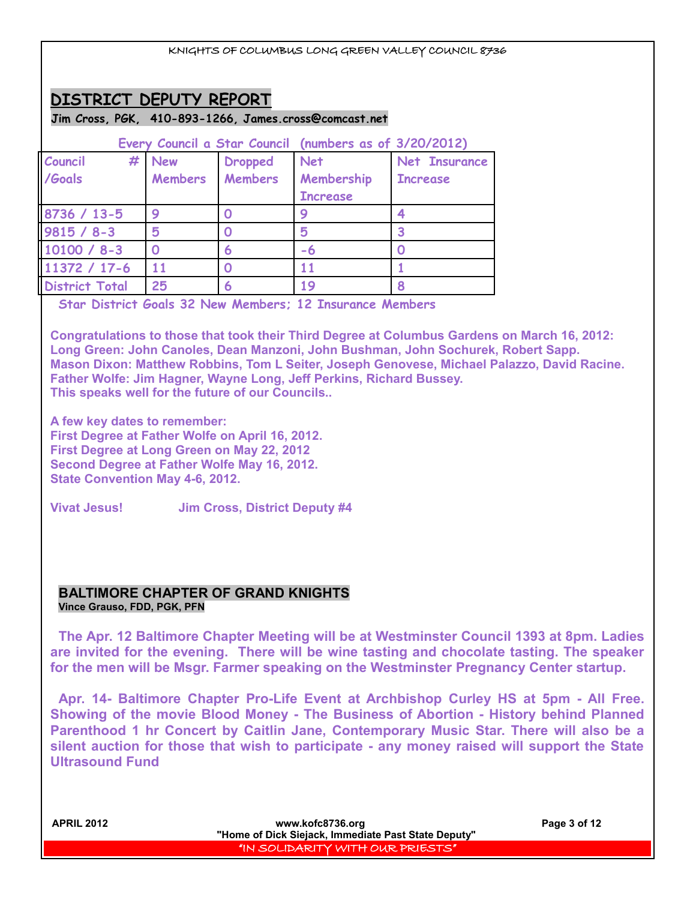## **DISTRICT DEPUTY REPORT**

#### **Jim Cross, PGK, 410-893-1266, James.cross@comcast.net**

| Every Council a Star Council (numbers as of 3/20/2012) |                |                |                 |                 |
|--------------------------------------------------------|----------------|----------------|-----------------|-----------------|
| #<br>Council                                           | <b>New</b>     | <b>Dropped</b> | <b>Net</b>      | Net Insurance   |
| /Goals                                                 | <b>Members</b> | Members        | Membership      | <b>Increase</b> |
|                                                        |                |                | <b>Increase</b> |                 |
| 8736 / 13-5                                            | 9              |                |                 |                 |
| $9815 / 8 - 3$                                         | 5              |                | 5               |                 |
| $10100 / 8 - 3$                                        |                | 6              | -6              |                 |
| 11372 / 17-6                                           |                |                |                 |                 |
| <b>District Total</b>                                  | 25             | 6              | 19              |                 |

**Star District Goals 32 New Members; 12 Insurance Members** 

**Congratulations to those that took their Third Degree at Columbus Gardens on March 16, 2012: Long Green: John Canoles, Dean Manzoni, John Bushman, John Sochurek, Robert Sapp. Mason Dixon: Matthew Robbins, Tom L Seiter, Joseph Genovese, Michael Palazzo, David Racine. Father Wolfe: Jim Hagner, Wayne Long, Jeff Perkins, Richard Bussey. This speaks well for the future of our Councils..** 

**A few key dates to remember: First Degree at Father Wolfe on April 16, 2012. First Degree at Long Green on May 22, 2012 Second Degree at Father Wolfe May 16, 2012. State Convention May 4-6, 2012.**

**Vivat Jesus! Jim Cross, District Deputy #4**

#### **BALTIMORE CHAPTER OF GRAND KNIGHTS Vince Grauso, FDD, PGK, PFN**

**The Apr. 12 Baltimore Chapter Meeting will be at Westminster Council 1393 at 8pm. Ladies are invited for the evening. There will be wine tasting and chocolate tasting. The speaker for the men will be Msgr. Farmer speaking on the Westminster Pregnancy Center startup.**

**Apr. 14- Baltimore Chapter Pro-Life Event at Archbishop Curley HS at 5pm - All Free. Showing of the movie Blood Money - The Business of Abortion - History behind Planned Parenthood 1 hr Concert by Caitlin Jane, Contemporary Music Star. There will also be a silent auction for those that wish to participate - any money raised will support the State Ultrasound Fund**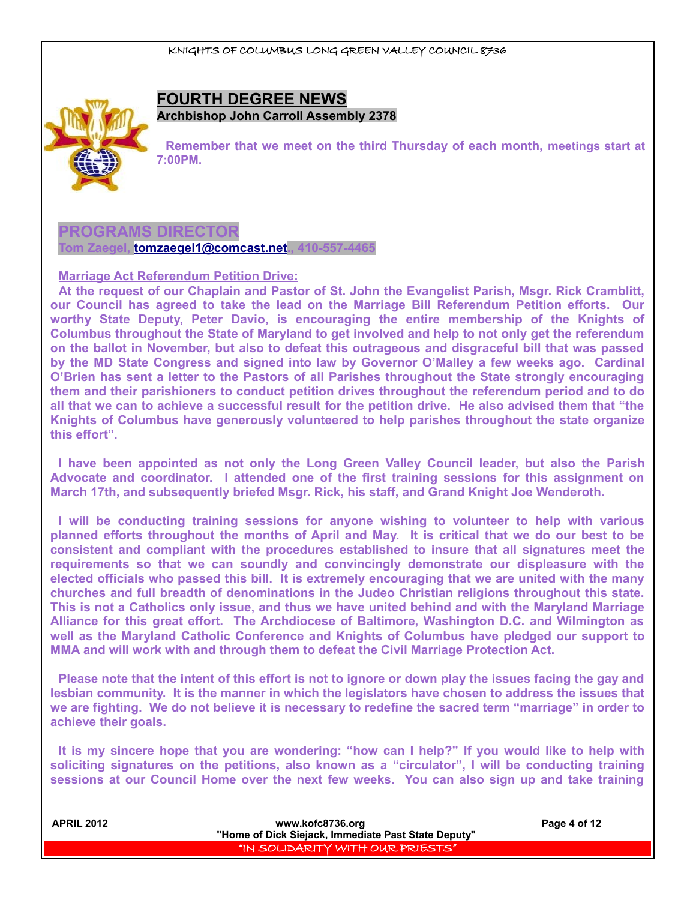

#### **FOURTH DEGREE NEWS Archbishop John Carroll Assembly 2378**

**Remember that we meet on the third Thursday of each month, meetings start at 7:00PM.**

#### **PROGRAMS DIRECTOR**

**Tom Zaegel, [tomzaegel1@comcast.net.](mailto:tomzaegel1@comcast.net), 410-557-4465**

**Marriage Act Referendum Petition Drive:**

**At the request of our Chaplain and Pastor of St. John the Evangelist Parish, Msgr. Rick Cramblitt, our Council has agreed to take the lead on the Marriage Bill Referendum Petition efforts. Our worthy State Deputy, Peter Davio, is encouraging the entire membership of the Knights of Columbus throughout the State of Maryland to get involved and help to not only get the referendum on the ballot in November, but also to defeat this outrageous and disgraceful bill that was passed by the MD State Congress and signed into law by Governor O'Malley a few weeks ago. Cardinal O'Brien has sent a letter to the Pastors of all Parishes throughout the State strongly encouraging them and their parishioners to conduct petition drives throughout the referendum period and to do all that we can to achieve a successful result for the petition drive. He also advised them that "the Knights of Columbus have generously volunteered to help parishes throughout the state organize this effort".**

**I have been appointed as not only the Long Green Valley Council leader, but also the Parish Advocate and coordinator. I attended one of the first training sessions for this assignment on March 17th, and subsequently briefed Msgr. Rick, his staff, and Grand Knight Joe Wenderoth.**

**I will be conducting training sessions for anyone wishing to volunteer to help with various planned efforts throughout the months of April and May. It is critical that we do our best to be consistent and compliant with the procedures established to insure that all signatures meet the requirements so that we can soundly and convincingly demonstrate our displeasure with the elected officials who passed this bill. It is extremely encouraging that we are united with the many churches and full breadth of denominations in the Judeo Christian religions throughout this state. This is not a Catholics only issue, and thus we have united behind and with the Maryland Marriage Alliance for this great effort. The Archdiocese of Baltimore, Washington D.C. and Wilmington as well as the Maryland Catholic Conference and Knights of Columbus have pledged our support to MMA and will work with and through them to defeat the Civil Marriage Protection Act.**

**Please note that the intent of this effort is not to ignore or down play the issues facing the gay and lesbian community. It is the manner in which the legislators have chosen to address the issues that we are fighting. We do not believe it is necessary to redefine the sacred term "marriage" in order to achieve their goals.**

**It is my sincere hope that you are wondering: "how can I help?" If you would like to help with soliciting signatures on the petitions, also known as a "circulator", I will be conducting training sessions at our Council Home over the next few weeks. You can also sign up and take training**

| <b>APRIL 2012</b> | www.kofc8736.org<br>"Home of Dick Siejack, Immediate Past State Deputy" | Page 4 of 12 |
|-------------------|-------------------------------------------------------------------------|--------------|
|                   | I "IN SOLIDARITY WITH OUR PRIESTS" !                                    |              |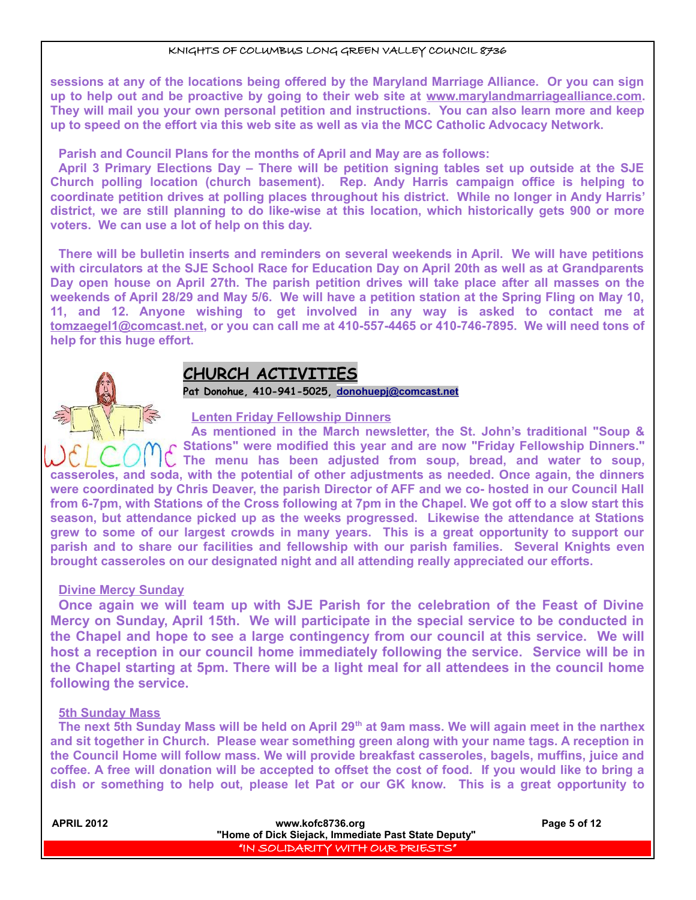**sessions at any of the locations being offered by the Maryland Marriage Alliance. Or you can sign up to help out and be proactive by going to their web site at www.marylandmarriagealliance.com. They will mail you your own personal petition and instructions. You can also learn more and keep up to speed on the effort via this web site as well as via the MCC Catholic Advocacy Network.**

**Parish and Council Plans for the months of April and May are as follows:**

**April 3 Primary Elections Day – There will be petition signing tables set up outside at the SJE Church polling location (church basement). Rep. Andy Harris campaign office is helping to coordinate petition drives at polling places throughout his district. While no longer in Andy Harris' district, we are still planning to do like-wise at this location, which historically gets 900 or more voters. We can use a lot of help on this day.**

**There will be bulletin inserts and reminders on several weekends in April. We will have petitions with circulators at the SJE School Race for Education Day on April 20th as well as at Grandparents Day open house on April 27th. The parish petition drives will take place after all masses on the weekends of April 28/29 and May 5/6. We will have a petition station at the Spring Fling on May 10, 11, and 12. Anyone wishing to get involved in any way is asked to contact me at tomzaegel1@comcast.net, or you can call me at 410-557-4465 or 410-746-7895. We will need tons of help for this huge effort.** 

## **CHURCH ACTIVITIES**

**Pat Donohue, 410-941-5025, [donohuepj@comcast.net](mailto:donohuepj@comcast.net)**

#### **Lenten Friday Fellowship Dinners**

**As mentioned in the March newsletter, the St. John's traditional "Soup & Stations" were modified this year and are now "Friday Fellowship Dinners." The menu has been adjusted from soup, bread, and water to soup, casseroles, and soda, with the potential of other adjustments as needed. Once again, the dinners were coordinated by Chris Deaver, the parish Director of AFF and we co- hosted in our Council Hall from 6-7pm, with Stations of the Cross following at 7pm in the Chapel. We got off to a slow start this season, but attendance picked up as the weeks progressed. Likewise the attendance at Stations grew to some of our largest crowds in many years. This is a great opportunity to support our parish and to share our facilities and fellowship with our parish families. Several Knights even brought casseroles on our designated night and all attending really appreciated our efforts.**

#### **Divine Mercy Sunday**

**Once again we will team up with SJE Parish for the celebration of the Feast of Divine Mercy on Sunday, April 15th. We will participate in the special service to be conducted in the Chapel and hope to see a large contingency from our council at this service. We will host a reception in our council home immediately following the service. Service will be in the Chapel starting at 5pm. There will be a light meal for all attendees in the council home following the service.**

#### **5th Sunday Mass**

**The next 5th Sunday Mass will be held on April 29th at 9am mass. We will again meet in the narthex and sit together in Church. Please wear something green along with your name tags. A reception in the Council Home will follow mass. We will provide breakfast casseroles, bagels, muffins, juice and coffee. A free will donation will be accepted to offset the cost of food. If you would like to bring a dish or something to help out, please let Pat or our GK know. This is a great opportunity to**

| <b>APRIL 2012</b> | www.kofc8736.org                                    | Page 5 of 12 |
|-------------------|-----------------------------------------------------|--------------|
|                   | "Home of Dick Siejack, Immediate Past State Deputy" |              |
|                   | I'IN SOLIDARITY WITH OUR PRIESTS" I                 |              |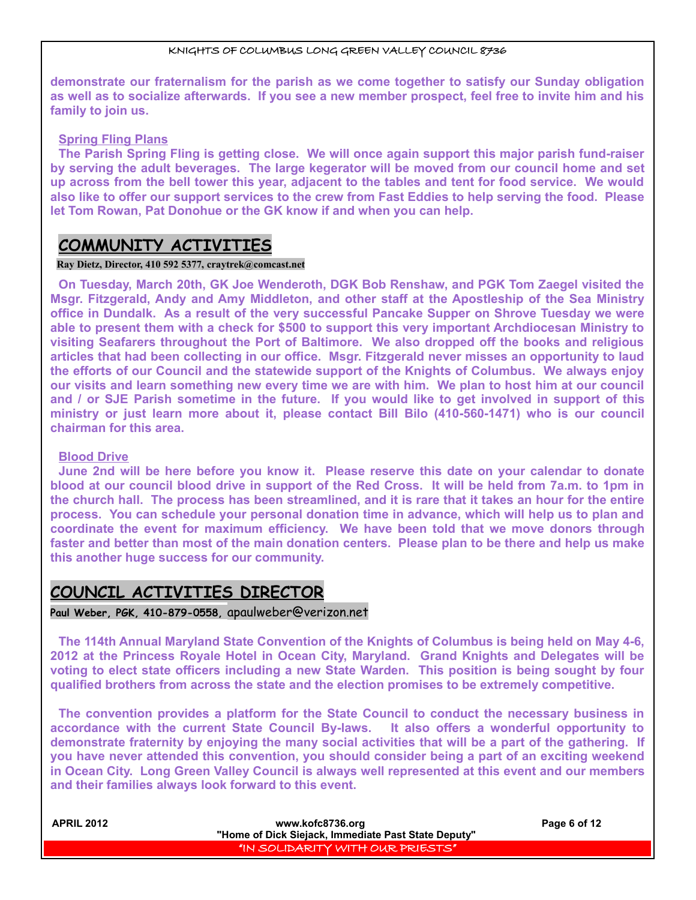**demonstrate our fraternalism for the parish as we come together to satisfy our Sunday obligation as well as to socialize afterwards. If you see a new member prospect, feel free to invite him and his family to join us.**

#### **Spring Fling Plans**

**The Parish Spring Fling is getting close. We will once again support this major parish fund-raiser by serving the adult beverages. The large kegerator will be moved from our council home and set up across from the bell tower this year, adjacent to the tables and tent for food service. We would also like to offer our support services to the crew from Fast Eddies to help serving the food. Please let Tom Rowan, Pat Donohue or the GK know if and when you can help.**

## **COMMUNITY ACTIVITIES**

#### **Ray Dietz, Director, 410 592 5377, [craytrek@comcast.net](mailto:craytrek@comcast.net)**

**On Tuesday, March 20th, GK Joe Wenderoth, DGK Bob Renshaw, and PGK Tom Zaegel visited the Msgr. Fitzgerald, Andy and Amy Middleton, and other staff at the Apostleship of the Sea Ministry office in Dundalk. As a result of the very successful Pancake Supper on Shrove Tuesday we were able to present them with a check for \$500 to support this very important Archdiocesan Ministry to visiting Seafarers throughout the Port of Baltimore. We also dropped off the books and religious articles that had been collecting in our office. Msgr. Fitzgerald never misses an opportunity to laud the efforts of our Council and the statewide support of the Knights of Columbus. We always enjoy our visits and learn something new every time we are with him. We plan to host him at our council and / or SJE Parish sometime in the future. If you would like to get involved in support of this ministry or just learn more about it, please contact Bill Bilo (410-560-1471) who is our council chairman for this area.**

#### **Blood Drive**

**June 2nd will be here before you know it. Please reserve this date on your calendar to donate blood at our council blood drive in support of the Red Cross. It will be held from 7a.m. to 1pm in the church hall. The process has been streamlined, and it is rare that it takes an hour for the entire process. You can schedule your personal donation time in advance, which will help us to plan and coordinate the event for maximum efficiency. We have been told that we move donors through faster and better than most of the main donation centers. Please plan to be there and help us make this another huge success for our community.**

## **COUNCIL ACTIVITIES DIRECTOR**

#### **Paul Weber, PGK, 410-879-0558,** apaulweber@verizon.net

**The 114th Annual Maryland State Convention of the Knights of Columbus is being held on May 4-6, 2012 at the Princess Royale Hotel in Ocean City, Maryland. Grand Knights and Delegates will be voting to elect state officers including a new State Warden. This position is being sought by four qualified brothers from across the state and the election promises to be extremely competitive.**

**The convention provides a platform for the State Council to conduct the necessary business in accordance with the current State Council By-laws. It also offers a wonderful opportunity to demonstrate fraternity by enjoying the many social activities that will be a part of the gathering. If you have never attended this convention, you should consider being a part of an exciting weekend in Ocean City. Long Green Valley Council is always well represented at this event and our members and their families always look forward to this event.**

| <b>APRIL 2012</b> | www.kofc8736.org                                    | Page 6 of 12 |
|-------------------|-----------------------------------------------------|--------------|
|                   | "Home of Dick Siejack, Immediate Past State Deputy" |              |
|                   | I "IN SOLIDARITY WITH OUR PRIESTS" I                |              |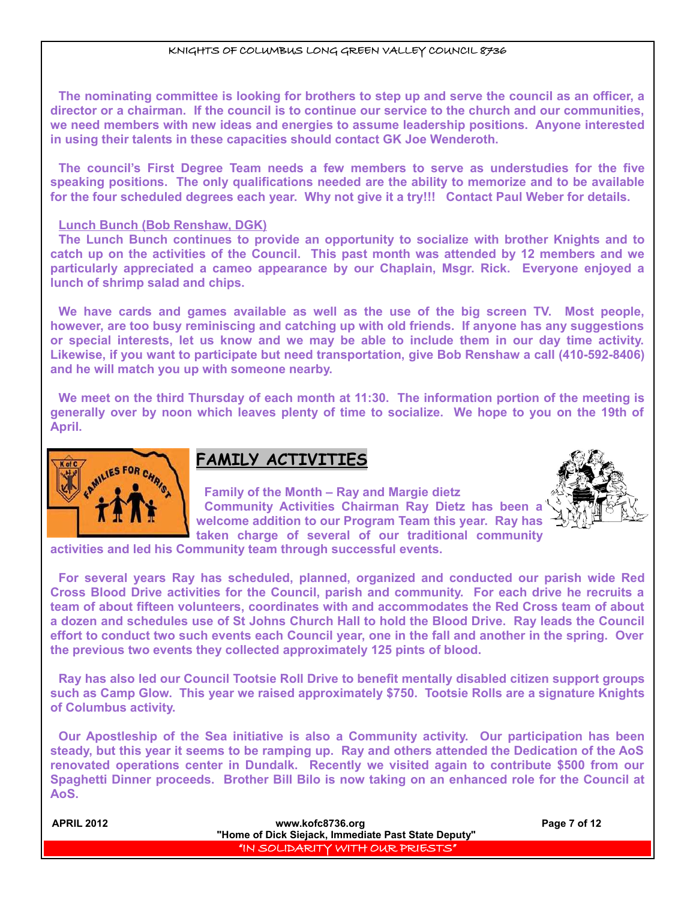**The nominating committee is looking for brothers to step up and serve the council as an officer, a director or a chairman. If the council is to continue our service to the church and our communities, we need members with new ideas and energies to assume leadership positions. Anyone interested in using their talents in these capacities should contact GK Joe Wenderoth.**

**The council's First Degree Team needs a few members to serve as understudies for the five speaking positions. The only qualifications needed are the ability to memorize and to be available for the four scheduled degrees each year. Why not give it a try!!! Contact Paul Weber for details.**

#### **Lunch Bunch (Bob Renshaw, DGK)**

**The Lunch Bunch continues to provide an opportunity to socialize with brother Knights and to catch up on the activities of the Council. This past month was attended by 12 members and we particularly appreciated a cameo appearance by our Chaplain, Msgr. Rick. Everyone enjoyed a lunch of shrimp salad and chips.**

**We have cards and games available as well as the use of the big screen TV. Most people, however, are too busy reminiscing and catching up with old friends. If anyone has any suggestions or special interests, let us know and we may be able to include them in our day time activity. Likewise, if you want to participate but need transportation, give Bob Renshaw a call (410-592-8406) and he will match you up with someone nearby.**

**We meet on the third Thursday of each month at 11:30. The information portion of the meeting is generally over by noon which leaves plenty of time to socialize. We hope to you on the 19th of April.**



## **FAMILY ACTIVITIES**

**Family of the Month – Ray and Margie dietz Community Activities Chairman Ray Dietz has been a welcome addition to our Program Team this year. Ray has taken charge of several of our traditional community**



**activities and led his Community team through successful events.**

**For several years Ray has scheduled, planned, organized and conducted our parish wide Red Cross Blood Drive activities for the Council, parish and community. For each drive he recruits a team of about fifteen volunteers, coordinates with and accommodates the Red Cross team of about a dozen and schedules use of St Johns Church Hall to hold the Blood Drive. Ray leads the Council effort to conduct two such events each Council year, one in the fall and another in the spring. Over the previous two events they collected approximately 125 pints of blood.**

**Ray has also led our Council Tootsie Roll Drive to benefit mentally disabled citizen support groups such as Camp Glow. This year we raised approximately \$750. Tootsie Rolls are a signature Knights of Columbus activity.**

**Our Apostleship of the Sea initiative is also a Community activity. Our participation has been steady, but this year it seems to be ramping up. Ray and others attended the Dedication of the AoS renovated operations center in Dundalk. Recently we visited again to contribute \$500 from our Spaghetti Dinner proceeds. Brother Bill Bilo is now taking on an enhanced role for the Council at AoS.**

| <b>APRIL 2012</b> | www.kofc8736.org                                    | Page 7 of 12 |
|-------------------|-----------------------------------------------------|--------------|
|                   | "Home of Dick Siejack, Immediate Past State Deputy" |              |
|                   | "IN SOLIDARITY WITH OUR PRIESTS"                    |              |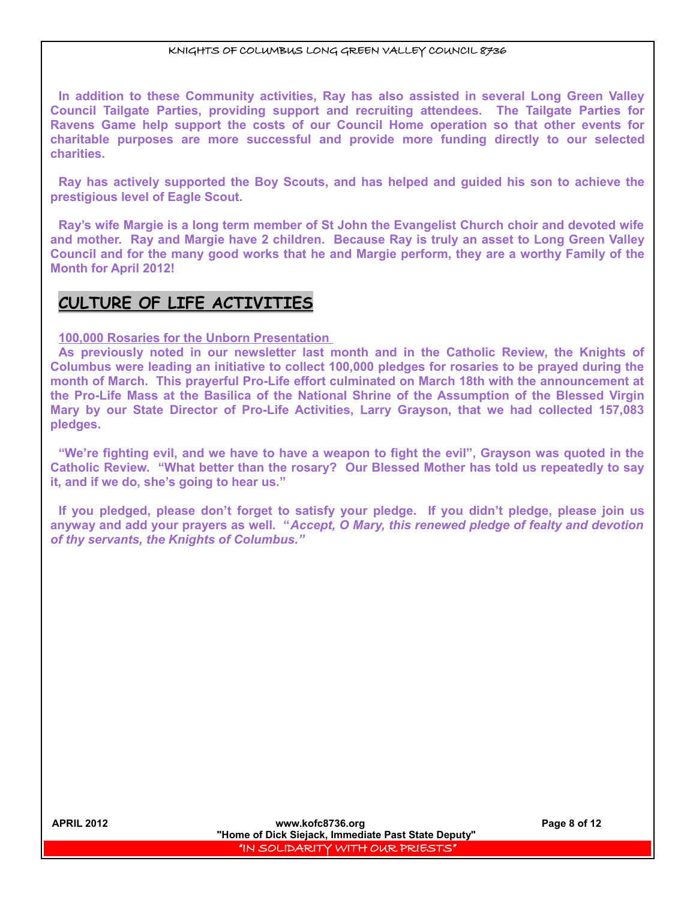**In addition to these Community activities, Ray has also assisted in several Long Green Valley Council Tailgate Parties, providing support and recruiting attendees. The Tailgate Parties for Ravens Game help support the costs of our Council Home operation so that other events for charitable purposes are more successful and provide more funding directly to our selected charities.**

**Ray has actively supported the Boy Scouts, and has helped and guided his son to achieve the prestigious level of Eagle Scout.**

**Ray's wife Margie is a long term member of St John the Evangelist Church choir and devoted wife and mother. Ray and Margie have 2 children. Because Ray is truly an asset to Long Green Valley Council and for the many good works that he and Margie perform, they are a worthy Family of the Month for April 2012!**

## **CULTURE OF LIFE ACTIVITIES**

**100,000 Rosaries for the Unborn Presentation** 

**As previously noted in our newsletter last month and in the Catholic Review, the Knights of Columbus were leading an initiative to collect 100,000 pledges for rosaries to be prayed during the month of March. This prayerful Pro-Life effort culminated on March 18th with the announcement at the Pro-Life Mass at the Basilica of the National Shrine of the Assumption of the Blessed Virgin Mary by our State Director of Pro-Life Activities, Larry Grayson, that we had collected 157,083 pledges.**

**"We're fighting evil, and we have to have a weapon to fight the evil", Grayson was quoted in the Catholic Review. "What better than the rosary? Our Blessed Mother has told us repeatedly to say it, and if we do, she's going to hear us."**

**If you pledged, please don't forget to satisfy your pledge. If you didn't pledge, please join us anyway and add your prayers as well. "***Accept, O Mary, this renewed pledge of fealty and devotion of thy servants, the Knights of Columbus."*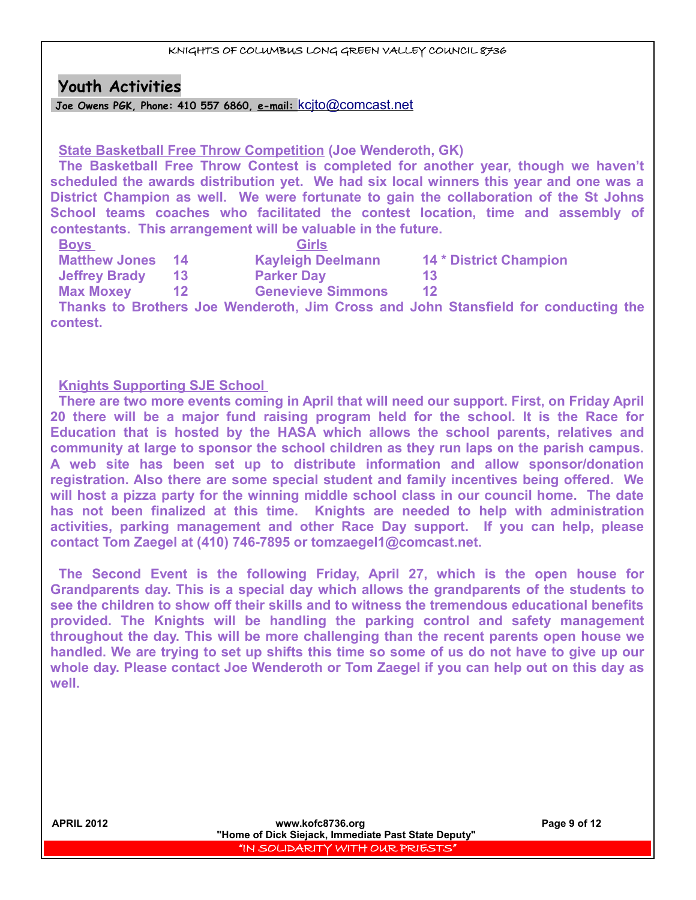## **Youth Activities**

 **Joe Owens PGK, Phone: 410 557 6860, e-mail:** [kcjto@comcast.net](mailto:kcjto@comcast.net)

## **State Basketball Free Throw Competition (Joe Wenderoth, GK)**

**The Basketball Free Throw Contest is completed for another year, though we haven't scheduled the awards distribution yet. We had six local winners this year and one was a District Champion as well. We were fortunate to gain the collaboration of the St Johns School teams coaches who facilitated the contest location, time and assembly of contestants. This arrangement will be valuable in the future.**

| <b>Matthew Jones 14</b> | <b>Kayleigh Deelmann</b> | <b>14 * District Champion</b> |
|-------------------------|--------------------------|-------------------------------|
| <b>Jeffrey Brady</b>    | <b>Parker Day</b>        | 13                            |
|                         |                          |                               |

**Max Moxey 12 Genevieve Simmons 12**

**Thanks to Brothers Joe Wenderoth, Jim Cross and John Stansfield for conducting the contest.**

## **Knights Supporting SJE School**

**There are two more events coming in April that will need our support. First, on Friday April 20 there will be a major fund raising program held for the school. It is the Race for Education that is hosted by the HASA which allows the school parents, relatives and community at large to sponsor the school children as they run laps on the parish campus. A web site has been set up to distribute information and allow sponsor/donation registration. Also there are some special student and family incentives being offered. We will host a pizza party for the winning middle school class in our council home. The date has not been finalized at this time. Knights are needed to help with administration activities, parking management and other Race Day support. If you can help, please contact Tom Zaegel at (410) 746-7895 or tomzaegel1@comcast.net.**

**The Second Event is the following Friday, April 27, which is the open house for Grandparents day. This is a special day which allows the grandparents of the students to see the children to show off their skills and to witness the tremendous educational benefits provided. The Knights will be handling the parking control and safety management throughout the day. This will be more challenging than the recent parents open house we handled. We are trying to set up shifts this time so some of us do not have to give up our whole day. Please contact Joe Wenderoth or Tom Zaegel if you can help out on this day as well.**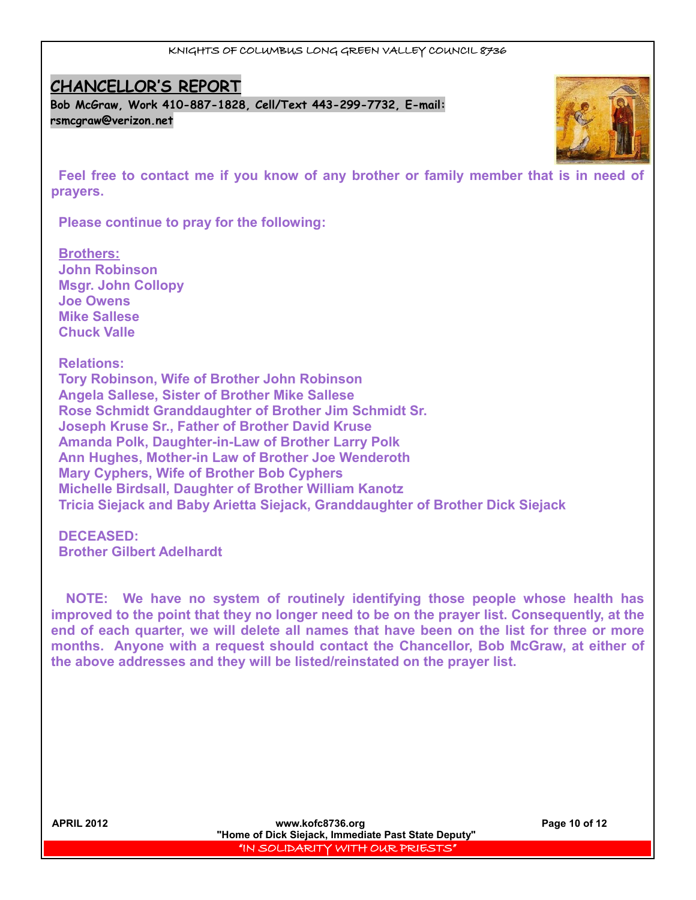## **CHANCELLOR'S REPORT**

**Bob McGraw, Work 410-887-1828, Cell/Text 443-299-7732, E-mail: [rsmcgraw@verizon.net](mailto:rsmcgraw@verizon.net)**



**Feel free to contact me if you know of any brother or family member that is in need of prayers.** 

**Please continue to pray for the following:** 

**Brothers: John Robinson Msgr. John Collopy Joe Owens Mike Sallese Chuck Valle**

**Relations: Tory Robinson, Wife of Brother John Robinson Angela Sallese, Sister of Brother Mike Sallese Rose Schmidt Granddaughter of Brother Jim Schmidt Sr. Joseph Kruse Sr., Father of Brother David Kruse Amanda Polk, Daughter-in-Law of Brother Larry Polk Ann Hughes, Mother-in Law of Brother Joe Wenderoth Mary Cyphers, Wife of Brother Bob Cyphers Michelle Birdsall, Daughter of Brother William Kanotz Tricia Siejack and Baby Arietta Siejack, Granddaughter of Brother Dick Siejack**

**DECEASED: Brother Gilbert Adelhardt**

 **NOTE: We have no system of routinely identifying those people whose health has improved to the point that they no longer need to be on the prayer list. Consequently, at the end of each quarter, we will delete all names that have been on the list for three or more months. Anyone with a request should contact the Chancellor, Bob McGraw, at either of the above addresses and they will be listed/reinstated on the prayer list.**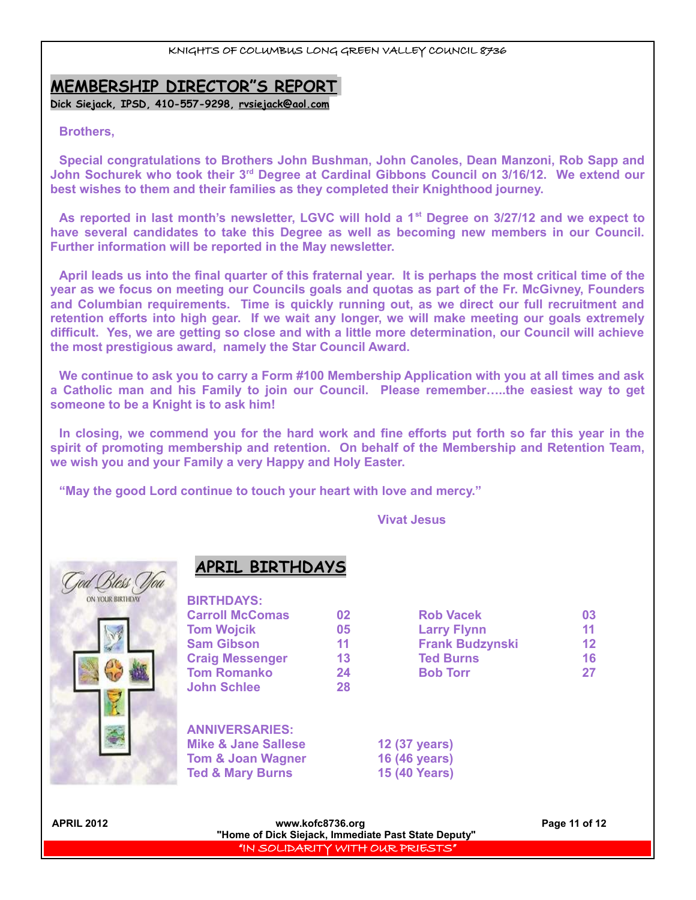## **MEMBERSHIP DIRECTOR"S REPORT**

**Dick Siejack, IPSD, 410-557-9298, [rvsiejack@aol.com](mailto:rvsiejack@aol.com)**

#### **Brothers,**

**Special congratulations to Brothers John Bushman, John Canoles, Dean Manzoni, Rob Sapp and John Sochurek who took their 3rd Degree at Cardinal Gibbons Council on 3/16/12. We extend our best wishes to them and their families as they completed their Knighthood journey.**

**As reported in last month's newsletter, LGVC will hold a 1st Degree on 3/27/12 and we expect to have several candidates to take this Degree as well as becoming new members in our Council. Further information will be reported in the May newsletter.**

**April leads us into the final quarter of this fraternal year. It is perhaps the most critical time of the year as we focus on meeting our Councils goals and quotas as part of the Fr. McGivney, Founders and Columbian requirements. Time is quickly running out, as we direct our full recruitment and retention efforts into high gear. If we wait any longer, we will make meeting our goals extremely difficult. Yes, we are getting so close and with a little more determination, our Council will achieve the most prestigious award, namely the Star Council Award.**

**We continue to ask you to carry a Form #100 Membership Application with you at all times and ask a Catholic man and his Family to join our Council. Please remember…..the easiest way to get someone to be a Knight is to ask him!**

**In closing, we commend you for the hard work and fine efforts put forth so far this year in the spirit of promoting membership and retention. On behalf of the Membership and Retention Team, we wish you and your Family a very Happy and Holy Easter.**

**"May the good Lord continue to touch your heart with love and mercy."**

**Vivat Jesus**



## **APRIL BIRTHDAYS**

| <b>BIRTHDAYS:</b>      |    |                        |    |
|------------------------|----|------------------------|----|
| <b>Carroll McComas</b> | 02 | <b>Rob Vacek</b>       | 03 |
| <b>Tom Wojcik</b>      | 05 | <b>Larry Flynn</b>     | 11 |
| <b>Sam Gibson</b>      | 11 | <b>Frank Budzynski</b> | 12 |
| <b>Craig Messenger</b> | 13 | <b>Ted Burns</b>       | 16 |
| <b>Tom Romanko</b>     | 24 | <b>Bob Torr</b>        | 27 |
| <b>John Schlee</b>     | 28 |                        |    |
| <b>ANNIVERSARIES:</b>  |    |                        |    |

| <b>Mike &amp; Jane Sallese</b> | 12 (37 years)        |
|--------------------------------|----------------------|
| <b>Tom &amp; Joan Wagner</b>   | 16 (46 years)        |
| <b>Ted &amp; Mary Burns</b>    | <b>15 (40 Years)</b> |

**APRIL 2012 www.kofc8736.org Page 11 of 12 "Home of Dick Siejack, Immediate Past State Deputy"**  "IN SOLIDARITY WITH OUR PRIESTS"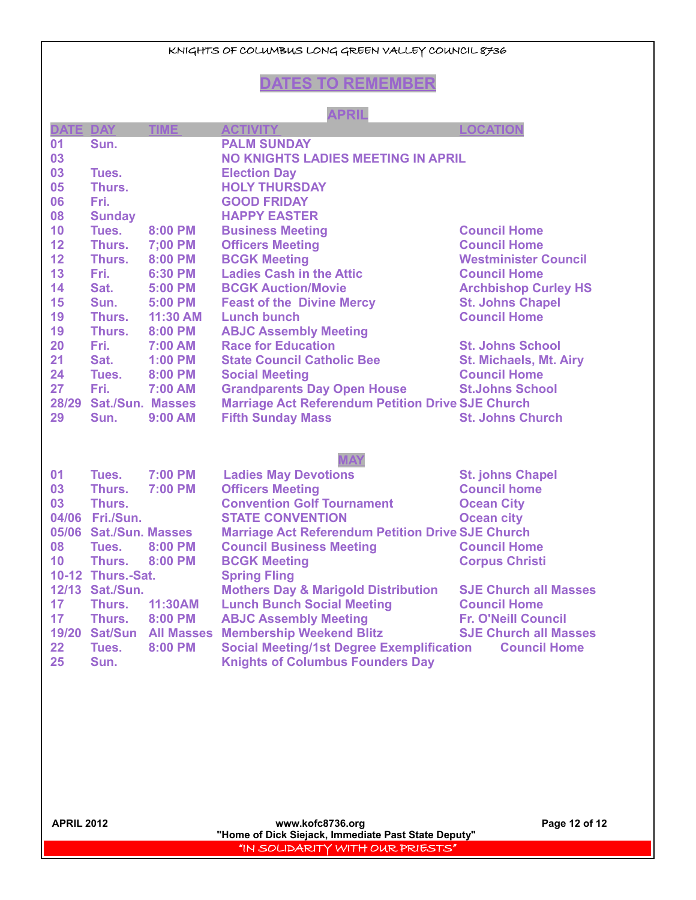## **DATES TO REMEMBER**

#### **APRIL**

| DATE DAY |                         | <b>TIME</b>              | <b>ACTIVITY</b>                                          | <b>LOCATION</b>               |
|----------|-------------------------|--------------------------|----------------------------------------------------------|-------------------------------|
| 01       | Sun.                    |                          | <b>PALM SUNDAY</b>                                       |                               |
| 03       |                         |                          | <b>NO KNIGHTS LADIES MEETING IN APRIL</b>                |                               |
| 03       | Tues.                   |                          | <b>Election Day</b>                                      |                               |
| 05       | Thurs.                  |                          | <b>HOLY THURSDAY</b>                                     |                               |
| 06       | Fri.                    |                          | <b>GOOD FRIDAY</b>                                       |                               |
| 08       | <b>Sunday</b>           |                          | <b>HAPPY EASTER</b>                                      |                               |
| 10       | Tues.                   | 8:00 PM                  | <b>Business Meeting</b>                                  | <b>Council Home</b>           |
| 12       | Thurs.                  | 7;00 PM                  | <b>Officers Meeting</b>                                  | <b>Council Home</b>           |
| 12       | Thurs.                  | 8:00 PM                  | <b>BCGK Meeting</b>                                      | <b>Westminister Council</b>   |
| 13       | Fri.                    | 6:30 PM                  | <b>Ladies Cash in the Attic</b>                          | <b>Council Home</b>           |
| 14       | Sat.                    | 5:00 PM                  | <b>BCGK Auction/Movie</b>                                | <b>Archbishop Curley HS</b>   |
| 15       | Sun.                    | 5:00 PM                  | <b>Feast of the Divine Mercy</b>                         | <b>St. Johns Chapel</b>       |
| 19       | Thurs.                  | 11:30 AM                 | <b>Lunch bunch</b>                                       | <b>Council Home</b>           |
| 19       | Thurs.                  | 8:00 PM                  | <b>ABJC Assembly Meeting</b>                             |                               |
| 20       | Fri.                    | <b>7:00 AM</b>           | <b>Race for Education</b>                                | <b>St. Johns School</b>       |
| 21       | Sat.                    | <b>1:00 PM</b>           | <b>State Council Catholic Bee</b>                        | <b>St. Michaels, Mt. Airy</b> |
| 24       | Tues.                   | 8:00 PM                  | <b>Social Meeting</b>                                    | <b>Council Home</b>           |
| 27       | Fri.                    | 7:00 AM                  | <b>Grandparents Day Open House</b>                       | <b>St.Johns School</b>        |
| 28/29    | <b>Sat./Sun. Masses</b> |                          | <b>Marriage Act Referendum Petition Drive SJE Church</b> |                               |
| 29       | Sun.                    | 9:00 AM                  | <b>Fifth Sunday Mass</b>                                 | <b>St. Johns Church</b>       |
|          |                         |                          |                                                          |                               |
|          |                         |                          |                                                          |                               |
|          |                         |                          | <b>MAY</b>                                               |                               |
| 01       | Tues.                   | 7:00 PM                  | <b>Ladies May Devotions</b>                              | <b>St. johns Chapel</b>       |
| 03       | Thurs.                  | <b>7:00 PM</b>           | <b>Officers Meeting</b>                                  | <b>Council home</b>           |
| 03       | Thurs.                  |                          | <b>Convention Golf Tournament</b>                        | <b>Ocean City</b>             |
|          | 04/06 Fri./Sun.         |                          | <b>STATE CONVENTION</b>                                  | <b>Ocean city</b>             |
|          | 05/06 Sat./Sun. Masses  |                          | <b>Marriage Act Referendum Petition Drive SJE Church</b> |                               |
| 08       | Tues.                   | 8:00 PM                  | <b>Council Business Meeting</b>                          | <b>Council Home</b>           |
| 10       | Thurs.                  | 8:00 PM                  | <b>BCGK Meeting</b>                                      | <b>Corpus Christi</b>         |
|          | 10-12 Thurs.-Sat.       |                          | <b>Spring Fling</b>                                      |                               |
|          | 12/13 Sat./Sun.         |                          | <b>Mothers Day &amp; Marigold Distribution</b>           | <b>SJE Church all Masses</b>  |
| 17       | Thurs.                  | 11:30AM                  | <b>Lunch Bunch Social Meeting</b>                        | <b>Council Home</b>           |
| 17       | Thurs.                  | 8:00 PM                  | <b>ABJC Assembly Meeting</b>                             | <b>Fr. O'Neill Council</b>    |
|          |                         | 19/20 Sat/Sun All Masses | <b>Membership Weekend Blitz</b>                          | <b>SJE Church all Masses</b>  |
| 22       | Tues.                   | 8:00 PM                  | <b>Social Meeting/1st Degree Exemplification</b>         | <b>Council Home</b>           |
| 25       | Sun.                    |                          | <b>Knights of Columbus Founders Day</b>                  |                               |